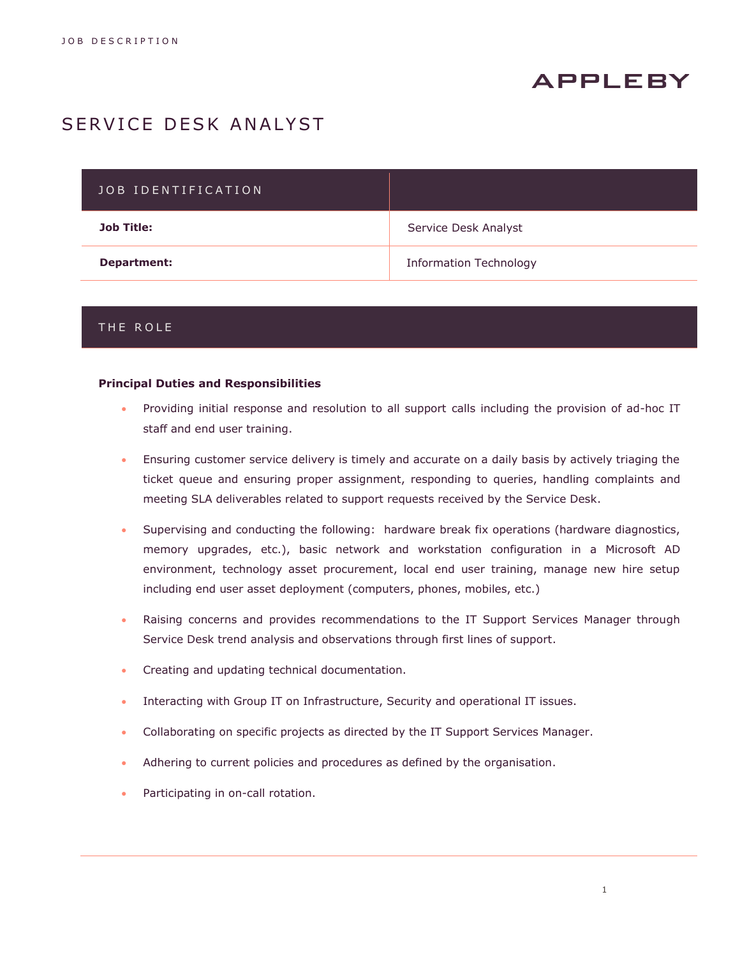# **APPLEBY**

## SERVICE DESK ANALYST

| JOB IDENTIFICATION |                               |
|--------------------|-------------------------------|
| <b>Job Title:</b>  | Service Desk Analyst          |
| Department:        | <b>Information Technology</b> |

## THE ROLE

#### **Principal Duties and Responsibilities**

- Providing initial response and resolution to all support calls including the provision of ad-hoc IT staff and end user training.
- Ensuring customer service delivery is timely and accurate on a daily basis by actively triaging the ticket queue and ensuring proper assignment, responding to queries, handling complaints and meeting SLA deliverables related to support requests received by the Service Desk.
- Supervising and conducting the following: hardware break fix operations (hardware diagnostics, memory upgrades, etc.), basic network and workstation configuration in a Microsoft AD environment, technology asset procurement, local end user training, manage new hire setup including end user asset deployment (computers, phones, mobiles, etc.)
- Raising concerns and provides recommendations to the IT Support Services Manager through Service Desk trend analysis and observations through first lines of support.
- Creating and updating technical documentation.
- Interacting with Group IT on Infrastructure, Security and operational IT issues.
- Collaborating on specific projects as directed by the IT Support Services Manager.
- Adhering to current policies and procedures as defined by the organisation.
- Participating in on-call rotation.